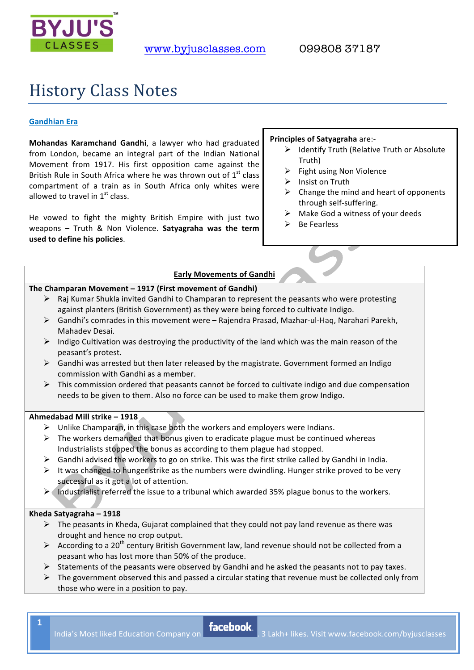

# **History Class Notes**

# **Gandhian"Era**

**Mohandas Karamchand Gandhi**, a lawyer who had graduated from London, became an integral part of the Indian National Movement from 1917. His first opposition came against the British Rule in South Africa where he was thrown out of  $1<sup>st</sup>$  class compartment of a train as in South Africa only whites were allowed to travel in  $1<sup>st</sup>$  class.

He vowed to fight the mighty British Empire with just two weapons – Truth & Non Violence. Satyagraha was the term used to define his policies.

#### **Principles of Satyagraha** are:-

- $\triangleright$  Identify Truth (Relative Truth or Absolute Truth)
- $\triangleright$  Fight using Non Violence
- $\triangleright$  Insist on Truth
- $\triangleright$  Change the mind and heart of opponents through self-suffering.
- $\triangleright$  Make God a witness of your deeds
- $\triangleright$  Be Fearless

# **Early Movements of Gandhi**

#### The Champaran Movement – 1917 (First movement of Gandhi)

- $\triangleright$  Raj Kumar Shukla invited Gandhi to Champaran to represent the peasants who were protesting against planters (British Government) as they were being forced to cultivate Indigo.
- $\triangleright$  Gandhi's comrades in this movement were Rajendra Prasad, Mazhar-ul-Haq, Narahari Parekh, Mahadev Desai.
- $\triangleright$  Indigo Cultivation was destroying the productivity of the land which was the main reason of the peasant's protest.
- $\triangleright$  Gandhi was arrested but then later released by the magistrate. Government formed an Indigo commission with Gandhi as a member.
- $\triangleright$  This commission ordered that peasants cannot be forced to cultivate indigo and due compensation needs to be given to them. Also no force can be used to make them grow Indigo.

#### **Ahmedabad"Mill"strike"– 1918**

- $\triangleright$  Unlike Champaran, in this case both the workers and employers were Indians.
- $\triangleright$  The workers demanded that bonus given to eradicate plague must be continued whereas Industrialists stopped the bonus as according to them plague had stopped.
- $\triangleright$  Gandhi advised the workers to go on strike. This was the first strike called by Gandhi in India.
- $\triangleright$  It was changed to hunger strike as the numbers were dwindling. Hunger strike proved to be very successful as it got a lot of attention.
- $\triangleright$  Industrialist referred the issue to a tribunal which awarded 35% plague bonus to the workers.

#### **Kheda"Satyagraha"– 1918**

- $\triangleright$  The peasants in Kheda, Gujarat complained that they could not pay land revenue as there was drought and hence no crop output.
- $\triangleright$  According to a 20<sup>th</sup> century British Government law, land revenue should not be collected from a peasant who has lost more than 50% of the produce.
- $\triangleright$  Statements of the peasants were observed by Gandhi and he asked the peasants not to pay taxes.
- $\triangleright$  The government observed this and passed a circular stating that revenue must be collected only from those who were in a position to pay.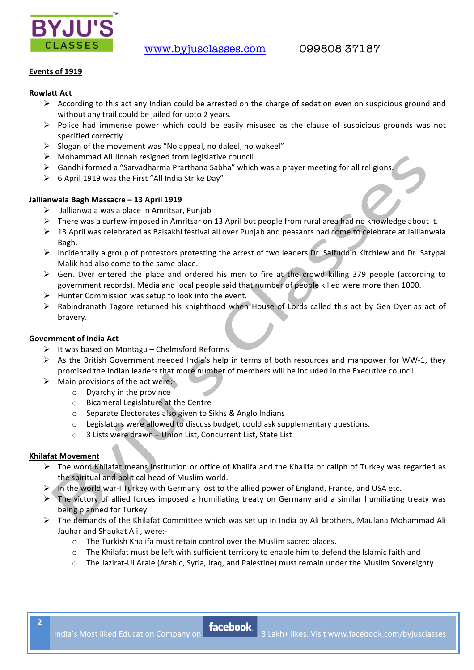

# Events of 1919

# **Rowlatt Act**

- $\triangleright$  According to this act any Indian could be arrested on the charge of sedation even on suspicious ground and without any trail could be jailed for upto 2 years.
- $\triangleright$  Police had immense power which could be easily misused as the clause of suspicious grounds was not specified correctly.
- > Slogan of the movement was "No appeal, no daleel, no wakeel"
- $\triangleright$  Mohammad Ali Jinnah resigned from legislative council.
- > Gandhi formed a "Sarvadharma Prarthana Sabha" which was a prayer meeting for all religions
- > 6 April 1919 was the First "All India Strike Day"

# Jallianwala Bagh Massacre - 13 April 1919

- $\triangleright$  Jallianwala was a place in Amritsar, Punjab
- $\triangleright$  There was a curfew imposed in Amritsar on 13 April but people from rural area had no knowledge about it.
- > 13 April was celebrated as Baisakhi festival all over Punjab and peasants had come to celebrate at Jallianwala Bagh.
- > Incidentally a group of protestors protesting the arrest of two leaders Dr. Saifuddin Kitchlew and Dr. Satypal Malik had also come to the same place.
- $\triangleright$  Gen. Dyer entered the place and ordered his men to fire at the crowd killing 379 people (according to government records). Media and local people said that number of people killed were more than 1000.
- $\triangleright$  Hunter Commission was setup to look into the event.
- > Rabindranath Tagore returned his knighthood when House of Lords called this act by Gen Dyer as act of bravery.

## **Government of India Act**

- $\triangleright$  It was based on Montagu Chelmsford Reforms
- $\triangleright$  As the British Government needed India's help in terms of both resources and manpower for WW-1, they promised the Indian leaders that more number of members will be included in the Executive council.
- $\triangleright$  Main provisions of the act were:
	- $\circ$  Dyarchy in the province
	- o Bicameral Legislature at the Centre
	- Separate Electorates also given to Sikhs & Anglo Indians
	- o Legislators were allowed to discuss budget, could ask supplementary questions.
	- o 3 Lists were drawn Union List, Concurrent List, State List

## **Khilafat Movement**

- The word Khilafat means institution or office of Khalifa and the Khalifa or caliph of Turkey was regarded as the spiritual and political head of Muslim world.
- $\triangleright$  In the world war-I Turkey with Germany lost to the allied power of England, France, and USA etc.
- $\triangleright$  The victory of allied forces imposed a humiliating treaty on Germany and a similar humiliating treaty was being planned for Turkey.
- The demands of the Khilafat Committee which was set up in India by Ali brothers, Maulana Mohammad Ali Jauhar and Shaukat Ali, were:
	- o The Turkish Khalifa must retain control over the Muslim sacred places.
	- o The Khilafat must be left with sufficient territory to enable him to defend the Islamic faith and
	- o The Jazirat-Ul Arale (Arabic, Syria, Iraq, and Palestine) must remain under the Muslim Sovereignty.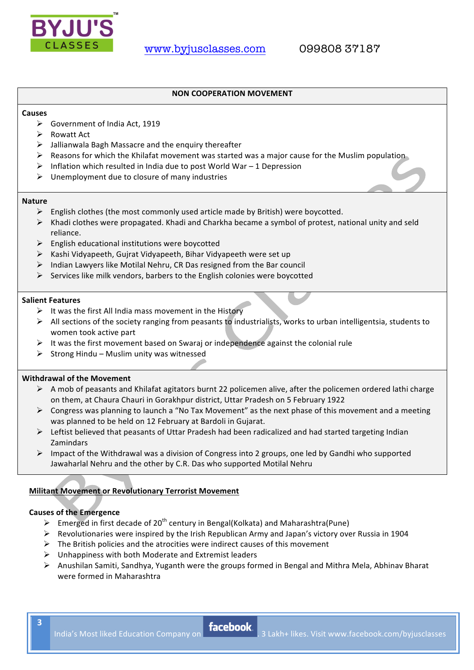

### **NON COOPERATION MOVEMENT**

#### **Causes**

- $\triangleright$  Government of India Act, 1919
- $\triangleright$  Rowatt Act
- $\triangleright$  Jallianwala Bagh Massacre and the enquiry thereafter
- $\triangleright$  Reasons for which the Khilafat movement was started was a major cause for the Muslim population
- $\triangleright$  Inflation which resulted in India due to post World War 1 Depression
- $\triangleright$  Unemployment due to closure of many industries

#### **Nature**

- $\triangleright$  English clothes (the most commonly used article made by British) were boycotted.
- $\triangleright$  Khadi clothes were propagated. Khadi and Charkha became a symbol of protest, national unity and seld reliance.
- $\triangleright$  English educational institutions were boycotted
- $\triangleright$  Kashi Vidyapeeth, Gujrat Vidyapeeth, Bihar Vidyapeeth were set up
- $\triangleright$  Indian Lawyers like Motilal Nehru, CR Das resigned from the Bar council
- $\triangleright$  Services like milk vendors, barbers to the English colonies were boycotted

#### **Salient Features**

- $\triangleright$  It was the first All India mass movement in the History
- $\triangleright$  All sections of the society ranging from peasants to industrialists, works to urban intelligentsia, students to women took active part
- $\triangleright$  It was the first movement based on Swaraj or independence against the colonial rule
- $\triangleright$  Strong Hindu Muslim unity was witnessed

# **Withdrawal of the Movement**

- $\triangleright$  A mob of peasants and Khilafat agitators burnt 22 policemen alive, after the policemen ordered lathi charge on them, at Chaura Chauri in Gorakhpur district, Uttar Pradesh on 5 February 1922
- $\triangleright$  Congress was planning to launch a "No Tax Movement" as the next phase of this movement and a meeting was planned to be held on 12 February at Bardoli in Gujarat.
- $\triangleright$  Leftist believed that peasants of Uttar Pradesh had been radicalized and had started targeting Indian Zamindars
- $\triangleright$  Impact of the Withdrawal was a division of Congress into 2 groups, one led by Gandhi who supported Jawaharlal Nehru and the other by C.R. Das who supported Motilal Nehru

## **Militant Movement or Revolutionary Terrorist Movement**

## **Causes of the Emergence**

- Emerged in first decade of 20<sup>th</sup> century in Bengal(Kolkata) and Maharashtra(Pune)
- $\triangleright$  Revolutionaries were inspired by the Irish Republican Army and Japan's victory over Russia in 1904
- $\triangleright$  The British policies and the atrocities were indirect causes of this movement
- $\triangleright$  Unhappiness with both Moderate and Extremist leaders
- $\triangleright$  Anushilan Samiti, Sandhya, Yuganth were the groups formed in Bengal and Mithra Mela, Abhinav Bharat were formed in Maharashtra